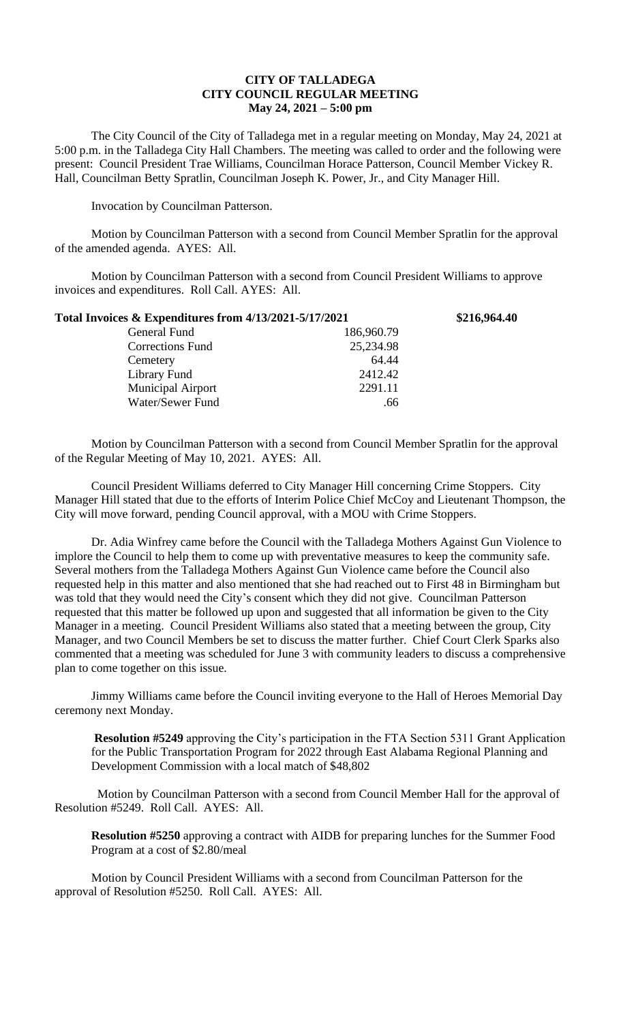## **CITY OF TALLADEGA CITY COUNCIL REGULAR MEETING May 24, 2021 – 5:00 pm**

The City Council of the City of Talladega met in a regular meeting on Monday, May 24, 2021 at 5:00 p.m. in the Talladega City Hall Chambers. The meeting was called to order and the following were present: Council President Trae Williams, Councilman Horace Patterson, Council Member Vickey R. Hall, Councilman Betty Spratlin, Councilman Joseph K. Power, Jr., and City Manager Hill.

Invocation by Councilman Patterson.

Motion by Councilman Patterson with a second from Council Member Spratlin for the approval of the amended agenda. AYES: All.

Motion by Councilman Patterson with a second from Council President Williams to approve invoices and expenditures. Roll Call. AYES: All.

| Total Invoices & Expenditures from 4/13/2021-5/17/2021 |            | \$216,964.40 |
|--------------------------------------------------------|------------|--------------|
| General Fund                                           | 186,960.79 |              |
| <b>Corrections Fund</b>                                | 25,234.98  |              |
| Cemetery                                               | 64.44      |              |
| Library Fund                                           | 2412.42    |              |
| <b>Municipal Airport</b>                               | 2291.11    |              |
| Water/Sewer Fund                                       | .66        |              |

Motion by Councilman Patterson with a second from Council Member Spratlin for the approval of the Regular Meeting of May 10, 2021. AYES: All.

Council President Williams deferred to City Manager Hill concerning Crime Stoppers. City Manager Hill stated that due to the efforts of Interim Police Chief McCoy and Lieutenant Thompson, the City will move forward, pending Council approval, with a MOU with Crime Stoppers.

Dr. Adia Winfrey came before the Council with the Talladega Mothers Against Gun Violence to implore the Council to help them to come up with preventative measures to keep the community safe. Several mothers from the Talladega Mothers Against Gun Violence came before the Council also requested help in this matter and also mentioned that she had reached out to First 48 in Birmingham but was told that they would need the City's consent which they did not give. Councilman Patterson requested that this matter be followed up upon and suggested that all information be given to the City Manager in a meeting. Council President Williams also stated that a meeting between the group, City Manager, and two Council Members be set to discuss the matter further. Chief Court Clerk Sparks also commented that a meeting was scheduled for June 3 with community leaders to discuss a comprehensive plan to come together on this issue.

Jimmy Williams came before the Council inviting everyone to the Hall of Heroes Memorial Day ceremony next Monday.

**Resolution #5249** approving the City's participation in the FTA Section 5311 Grant Application for the Public Transportation Program for 2022 through East Alabama Regional Planning and Development Commission with a local match of \$48,802

Motion by Councilman Patterson with a second from Council Member Hall for the approval of Resolution #5249. Roll Call. AYES: All.

**Resolution #5250** approving a contract with AIDB for preparing lunches for the Summer Food Program at a cost of \$2.80/meal

Motion by Council President Williams with a second from Councilman Patterson for the approval of Resolution #5250. Roll Call. AYES: All.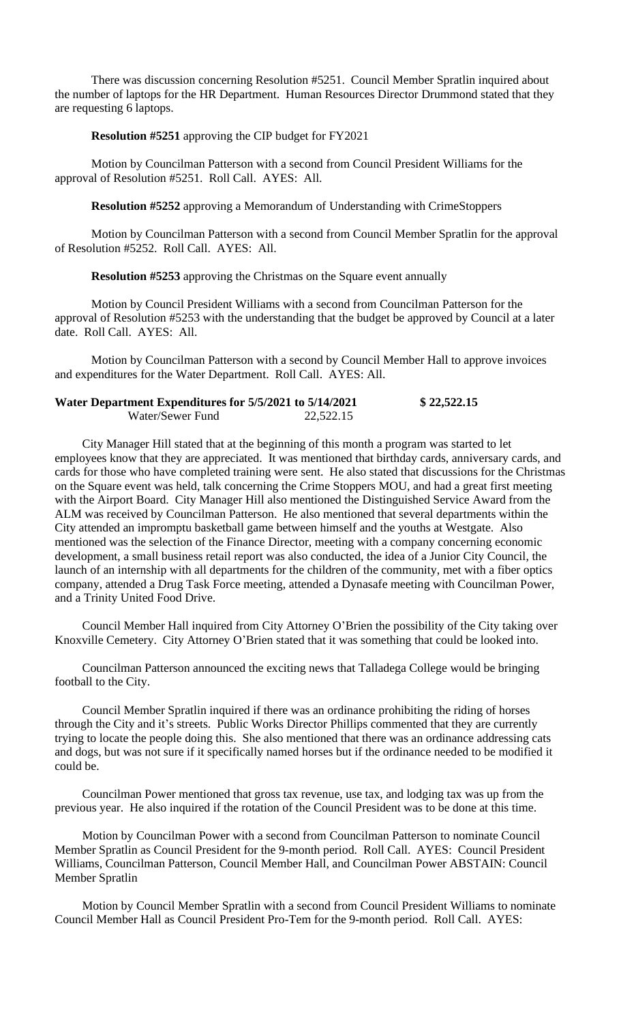There was discussion concerning Resolution #5251. Council Member Spratlin inquired about the number of laptops for the HR Department. Human Resources Director Drummond stated that they are requesting 6 laptops.

## **Resolution #5251** approving the CIP budget for FY2021

Motion by Councilman Patterson with a second from Council President Williams for the approval of Resolution #5251. Roll Call. AYES: All.

**Resolution #5252** approving a Memorandum of Understanding with CrimeStoppers

Motion by Councilman Patterson with a second from Council Member Spratlin for the approval of Resolution #5252. Roll Call. AYES: All.

**Resolution #5253** approving the Christmas on the Square event annually

Motion by Council President Williams with a second from Councilman Patterson for the approval of Resolution #5253 with the understanding that the budget be approved by Council at a later date. Roll Call. AYES: All.

Motion by Councilman Patterson with a second by Council Member Hall to approve invoices and expenditures for the Water Department. Roll Call. AYES: All.

| Water Department Expenditures for 5/5/2021 to 5/14/2021 |           | \$22,522.15 |
|---------------------------------------------------------|-----------|-------------|
| Water/Sewer Fund                                        | 22,522.15 |             |

City Manager Hill stated that at the beginning of this month a program was started to let employees know that they are appreciated. It was mentioned that birthday cards, anniversary cards, and cards for those who have completed training were sent. He also stated that discussions for the Christmas on the Square event was held, talk concerning the Crime Stoppers MOU, and had a great first meeting with the Airport Board. City Manager Hill also mentioned the Distinguished Service Award from the ALM was received by Councilman Patterson. He also mentioned that several departments within the City attended an impromptu basketball game between himself and the youths at Westgate. Also mentioned was the selection of the Finance Director, meeting with a company concerning economic development, a small business retail report was also conducted, the idea of a Junior City Council, the launch of an internship with all departments for the children of the community, met with a fiber optics company, attended a Drug Task Force meeting, attended a Dynasafe meeting with Councilman Power, and a Trinity United Food Drive.

Council Member Hall inquired from City Attorney O'Brien the possibility of the City taking over Knoxville Cemetery. City Attorney O'Brien stated that it was something that could be looked into.

Councilman Patterson announced the exciting news that Talladega College would be bringing football to the City.

Council Member Spratlin inquired if there was an ordinance prohibiting the riding of horses through the City and it's streets. Public Works Director Phillips commented that they are currently trying to locate the people doing this. She also mentioned that there was an ordinance addressing cats and dogs, but was not sure if it specifically named horses but if the ordinance needed to be modified it could be.

Councilman Power mentioned that gross tax revenue, use tax, and lodging tax was up from the previous year. He also inquired if the rotation of the Council President was to be done at this time.

Motion by Councilman Power with a second from Councilman Patterson to nominate Council Member Spratlin as Council President for the 9-month period. Roll Call. AYES: Council President Williams, Councilman Patterson, Council Member Hall, and Councilman Power ABSTAIN: Council Member Spratlin

Motion by Council Member Spratlin with a second from Council President Williams to nominate Council Member Hall as Council President Pro-Tem for the 9-month period. Roll Call. AYES: